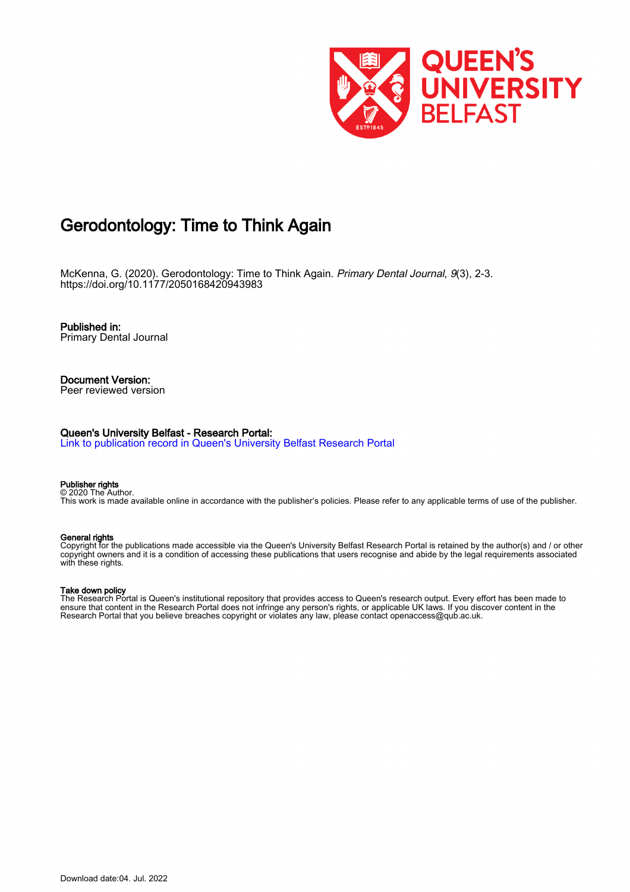

# Gerodontology: Time to Think Again

McKenna, G. (2020). Gerodontology: Time to Think Again. Primary Dental Journal, 9(3), 2-3. <https://doi.org/10.1177/2050168420943983>

Published in: Primary Dental Journal

#### Document Version: Peer reviewed version

Queen's University Belfast - Research Portal:

[Link to publication record in Queen's University Belfast Research Portal](https://pure.qub.ac.uk/en/publications/2b977a3f-6ffe-4dd4-831e-9b25c10208a8)

#### Publisher rights © 2020 The Author.

This work is made available online in accordance with the publisher's policies. Please refer to any applicable terms of use of the publisher.

### General rights

Copyright for the publications made accessible via the Queen's University Belfast Research Portal is retained by the author(s) and / or other copyright owners and it is a condition of accessing these publications that users recognise and abide by the legal requirements associated with these rights.

### Take down policy

The Research Portal is Queen's institutional repository that provides access to Queen's research output. Every effort has been made to ensure that content in the Research Portal does not infringe any person's rights, or applicable UK laws. If you discover content in the Research Portal that you believe breaches copyright or violates any law, please contact openaccess@qub.ac.uk.